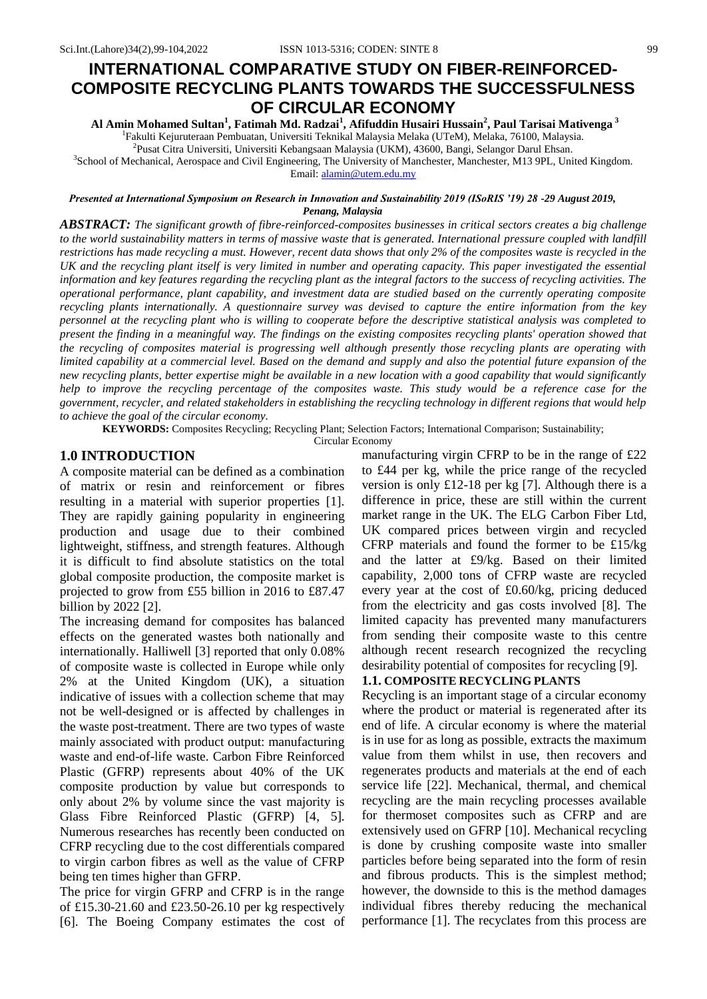# **INTERNATIONAL COMPARATIVE STUDY ON FIBER-REINFORCED-COMPOSITE RECYCLING PLANTS TOWARDS THE SUCCESSFULNESS OF CIRCULAR ECONOMY**

**Al Amin Mohamed Sultan<sup>1</sup> , Fatimah Md. Radzai<sup>1</sup> , Afifuddin Husairi Hussain<sup>2</sup> , Paul Tarisai Mativenga <sup>3</sup>** <sup>1</sup>Fakulti Kejuruteraan Pembuatan, Universiti Teknikal Malaysia Melaka (UTeM), Melaka, 76100, Malaysia.

2 Pusat Citra Universiti, Universiti Kebangsaan Malaysia (UKM), 43600, Bangi, Selangor Darul Ehsan. 3 School of Mechanical, Aerospace and Civil Engineering, The University of Manchester, Manchester, M13 9PL, United Kingdom. Email: [alamin@utem.edu.my](mailto:alamin@utem.edu.my)

*Presented at International Symposium on Research in Innovation and Sustainability 2019 (ISoRIS '19) 28 -29 August 2019, Penang, Malaysia*

*ABSTRACT: The significant growth of fibre-reinforced-composites businesses in critical sectors creates a big challenge to the world sustainability matters in terms of massive waste that is generated. International pressure coupled with landfill restrictions has made recycling a must. However, recent data shows that only 2% of the composites waste is recycled in the UK and the recycling plant itself is very limited in number and operating capacity. This paper investigated the essential information and key features regarding the recycling plant as the integral factors to the success of recycling activities. The operational performance, plant capability, and investment data are studied based on the currently operating composite recycling plants internationally. A questionnaire survey was devised to capture the entire information from the key personnel at the recycling plant who is willing to cooperate before the descriptive statistical analysis was completed to present the finding in a meaningful way. The findings on the existing composites recycling plants' operation showed that the recycling of composites material is progressing well although presently those recycling plants are operating with limited capability at a commercial level. Based on the demand and supply and also the potential future expansion of the new recycling plants, better expertise might be available in a new location with a good capability that would significantly help to improve the recycling percentage of the composites waste. This study would be a reference case for the government, recycler, and related stakeholders in establishing the recycling technology in different regions that would help to achieve the goal of the circular economy.*

**KEYWORDS:** Composites Recycling; Recycling Plant; Selection Factors; International Comparison; Sustainability;

Circular Economy

#### **1.0 INTRODUCTION**

A composite material can be defined as a combination of matrix or resin and reinforcement or fibres resulting in a material with superior properties [1]. They are rapidly gaining popularity in engineering production and usage due to their combined lightweight, stiffness, and strength features. Although it is difficult to find absolute statistics on the total global composite production, the composite market is projected to grow from £55 billion in 2016 to £87.47 billion by 2022 [2].

The increasing demand for composites has balanced effects on the generated wastes both nationally and internationally. Halliwell [3] reported that only 0.08% of composite waste is collected in Europe while only 2% at the United Kingdom (UK), a situation indicative of issues with a collection scheme that may not be well-designed or is affected by challenges in the waste post-treatment. There are two types of waste mainly associated with product output: manufacturing waste and end-of-life waste. Carbon Fibre Reinforced Plastic (GFRP) represents about 40% of the UK composite production by value but corresponds to only about 2% by volume since the vast majority is Glass Fibre Reinforced Plastic (GFRP) [4, 5]. Numerous researches has recently been conducted on CFRP recycling due to the cost differentials compared to virgin carbon fibres as well as the value of CFRP being ten times higher than GFRP.

The price for virgin GFRP and CFRP is in the range of £15.30-21.60 and £23.50-26.10 per kg respectively [6]. The Boeing Company estimates the cost of manufacturing virgin CFRP to be in the range of £22 to £44 per kg, while the price range of the recycled version is only £12-18 per kg [7]. Although there is a difference in price, these are still within the current market range in the UK. The ELG Carbon Fiber Ltd, UK compared prices between virgin and recycled CFRP materials and found the former to be £15/kg and the latter at £9/kg. Based on their limited capability, 2,000 tons of CFRP waste are recycled every year at the cost of £0.60/kg, pricing deduced from the electricity and gas costs involved [8]. The limited capacity has prevented many manufacturers from sending their composite waste to this centre although recent research recognized the recycling desirability potential of composites for recycling [9].

# **1.1. COMPOSITE RECYCLING PLANTS**

Recycling is an important stage of a circular economy where the product or material is regenerated after its end of life. A circular economy is where the material is in use for as long as possible, extracts the maximum value from them whilst in use, then recovers and regenerates products and materials at the end of each service life [22]. Mechanical, thermal, and chemical recycling are the main recycling processes available for thermoset composites such as CFRP and are extensively used on GFRP [10]. Mechanical recycling is done by crushing composite waste into smaller particles before being separated into the form of resin and fibrous products. This is the simplest method; however, the downside to this is the method damages individual fibres thereby reducing the mechanical performance [1]. The recyclates from this process are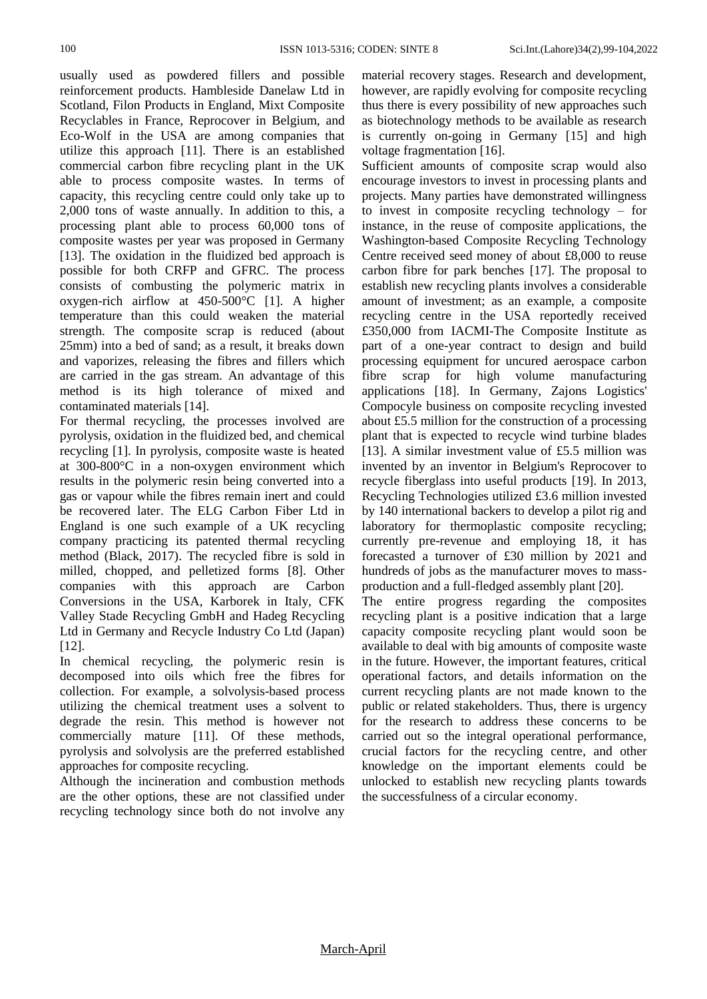usually used as powdered fillers and possible reinforcement products. Hambleside Danelaw Ltd in Scotland, Filon Products in England, Mixt Composite Recyclables in France, Reprocover in Belgium, and Eco-Wolf in the USA are among companies that utilize this approach [11]. There is an established commercial carbon fibre recycling plant in the UK able to process composite wastes. In terms of capacity, this recycling centre could only take up to 2,000 tons of waste annually. In addition to this, a processing plant able to process 60,000 tons of composite wastes per year was proposed in Germany [13]. The oxidation in the fluidized bed approach is possible for both CRFP and GFRC. The process consists of combusting the polymeric matrix in oxygen-rich airflow at 450-500°C [1]. A higher temperature than this could weaken the material strength. The composite scrap is reduced (about 25mm) into a bed of sand; as a result, it breaks down and vaporizes, releasing the fibres and fillers which are carried in the gas stream. An advantage of this method is its high tolerance of mixed and contaminated materials [14].

For thermal recycling, the processes involved are pyrolysis, oxidation in the fluidized bed, and chemical recycling [1]. In pyrolysis, composite waste is heated at 300-800°C in a non-oxygen environment which results in the polymeric resin being converted into a gas or vapour while the fibres remain inert and could be recovered later. The ELG Carbon Fiber Ltd in England is one such example of a UK recycling company practicing its patented thermal recycling method (Black, 2017). The recycled fibre is sold in milled, chopped, and pelletized forms [8]. Other companies with this approach are Carbon Conversions in the USA, Karborek in Italy, CFK Valley Stade Recycling GmbH and Hadeg Recycling Ltd in Germany and Recycle Industry Co Ltd (Japan) [12].

In chemical recycling, the polymeric resin is decomposed into oils which free the fibres for collection. For example, a solvolysis-based process utilizing the chemical treatment uses a solvent to degrade the resin. This method is however not commercially mature [11]. Of these methods, pyrolysis and solvolysis are the preferred established approaches for composite recycling.

Although the incineration and combustion methods are the other options, these are not classified under recycling technology since both do not involve any material recovery stages. Research and development, however, are rapidly evolving for composite recycling thus there is every possibility of new approaches such as biotechnology methods to be available as research is currently on-going in Germany [15] and high voltage fragmentation [16].

Sufficient amounts of composite scrap would also encourage investors to invest in processing plants and projects. Many parties have demonstrated willingness to invest in composite recycling technology – for instance, in the reuse of composite applications, the Washington-based Composite Recycling Technology Centre received seed money of about £8,000 to reuse carbon fibre for park benches [17]. The proposal to establish new recycling plants involves a considerable amount of investment; as an example, a composite recycling centre in the USA reportedly received £350,000 from IACMI-The Composite Institute as part of a one-year contract to design and build processing equipment for uncured aerospace carbon fibre scrap for high volume manufacturing applications [18]. In Germany, Zajons Logistics' Compocyle business on composite recycling invested about £5.5 million for the construction of a processing plant that is expected to recycle wind turbine blades [13]. A similar investment value of £5.5 million was invented by an inventor in Belgium's Reprocover to recycle fiberglass into useful products [19]. In 2013, Recycling Technologies utilized £3.6 million invested by 140 international backers to develop a pilot rig and laboratory for thermoplastic composite recycling; currently pre-revenue and employing 18, it has forecasted a turnover of £30 million by 2021 and hundreds of jobs as the manufacturer moves to massproduction and a full-fledged assembly plant [20].

The entire progress regarding the composites recycling plant is a positive indication that a large capacity composite recycling plant would soon be available to deal with big amounts of composite waste in the future. However, the important features, critical operational factors, and details information on the current recycling plants are not made known to the public or related stakeholders. Thus, there is urgency for the research to address these concerns to be carried out so the integral operational performance, crucial factors for the recycling centre, and other knowledge on the important elements could be unlocked to establish new recycling plants towards the successfulness of a circular economy.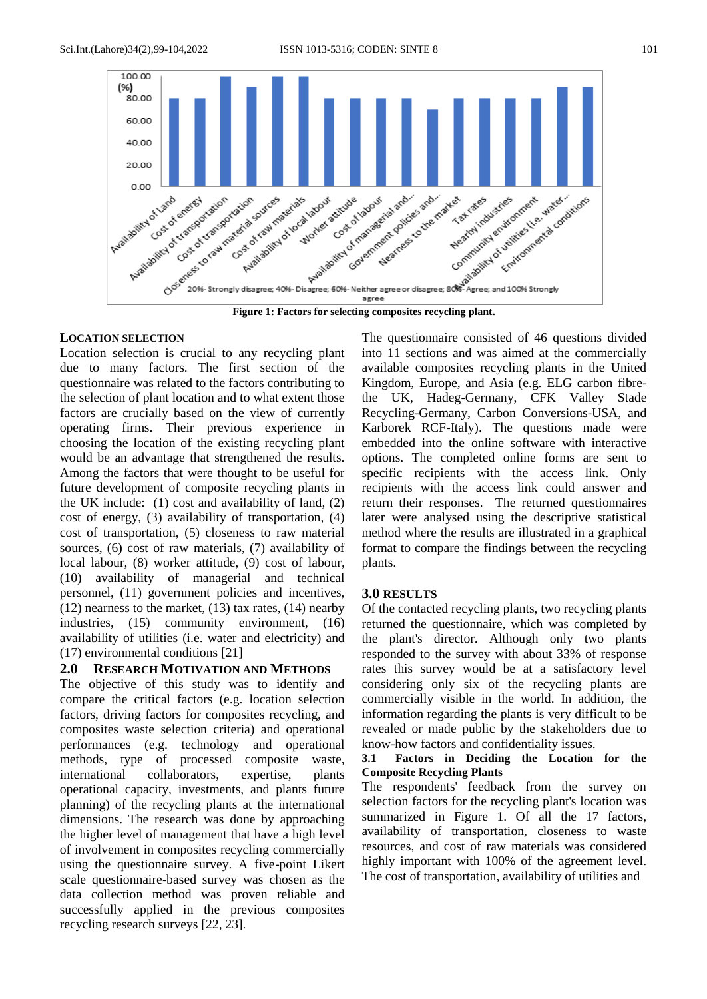

#### **LOCATION SELECTION**

Location selection is crucial to any recycling plant due to many factors. The first section of the questionnaire was related to the factors contributing to the selection of plant location and to what extent those factors are crucially based on the view of currently operating firms. Their previous experience in choosing the location of the existing recycling plant would be an advantage that strengthened the results. Among the factors that were thought to be useful for future development of composite recycling plants in the UK include: (1) cost and availability of land, (2) cost of energy, (3) availability of transportation, (4) cost of transportation, (5) closeness to raw material sources, (6) cost of raw materials, (7) availability of local labour, (8) worker attitude, (9) cost of labour, (10) availability of managerial and technical personnel, (11) government policies and incentives, (12) nearness to the market, (13) tax rates, (14) nearby industries, (15) community environment, (16) availability of utilities (i.e. water and electricity) and (17) environmental conditions [21]

# **2.0 RESEARCH MOTIVATION AND METHODS**

The objective of this study was to identify and compare the critical factors (e.g. location selection factors, driving factors for composites recycling, and composites waste selection criteria) and operational performances (e.g. technology and operational methods, type of processed composite waste, international collaborators, expertise, plants operational capacity, investments, and plants future planning) of the recycling plants at the international dimensions. The research was done by approaching the higher level of management that have a high level of involvement in composites recycling commercially using the questionnaire survey. A five-point Likert scale questionnaire-based survey was chosen as the data collection method was proven reliable and successfully applied in the previous composites recycling research surveys [22, 23].

The questionnaire consisted of 46 questions divided into 11 sections and was aimed at the commercially available composites recycling plants in the United Kingdom, Europe, and Asia (e.g. ELG carbon fibrethe UK, Hadeg-Germany, CFK Valley Stade Recycling-Germany, Carbon Conversions-USA, and Karborek RCF-Italy). The questions made were embedded into the online software with interactive options. The completed online forms are sent to specific recipients with the access link. Only recipients with the access link could answer and return their responses. The returned questionnaires later were analysed using the descriptive statistical method where the results are illustrated in a graphical format to compare the findings between the recycling plants.

# **3.0 RESULTS**

Of the contacted recycling plants, two recycling plants returned the questionnaire, which was completed by the plant's director. Although only two plants responded to the survey with about 33% of response rates this survey would be at a satisfactory level considering only six of the recycling plants are commercially visible in the world. In addition, the information regarding the plants is very difficult to be revealed or made public by the stakeholders due to know-how factors and confidentiality issues.

#### **3.1 Factors in Deciding the Location for the Composite Recycling Plants**

The respondents' feedback from the survey on selection factors for the recycling plant's location was summarized in Figure 1. Of all the 17 factors, availability of transportation, closeness to waste resources, and cost of raw materials was considered highly important with 100% of the agreement level. The cost of transportation, availability of utilities and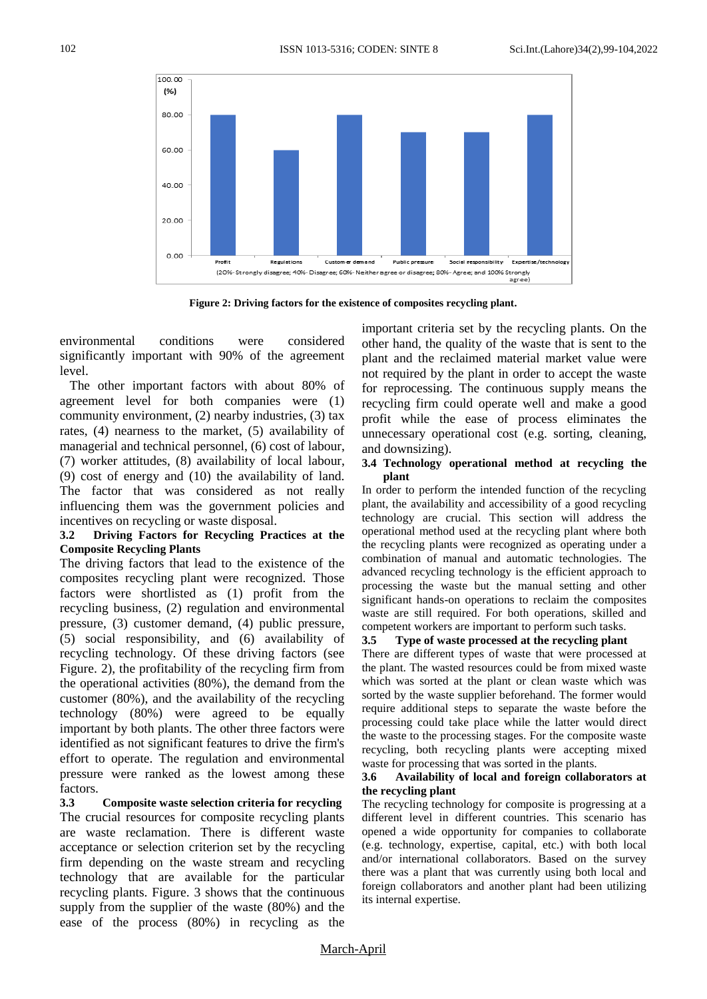

**Figure 2: Driving factors for the existence of composites recycling plant.**

environmental conditions were considered significantly important with 90% of the agreement level.

 The other important factors with about 80% of agreement level for both companies were (1) community environment, (2) nearby industries, (3) tax rates, (4) nearness to the market, (5) availability of managerial and technical personnel, (6) cost of labour, (7) worker attitudes, (8) availability of local labour, (9) cost of energy and (10) the availability of land. The factor that was considered as not really influencing them was the government policies and incentives on recycling or waste disposal.

#### **3.2 Driving Factors for Recycling Practices at the Composite Recycling Plants**

The driving factors that lead to the existence of the composites recycling plant were recognized. Those factors were shortlisted as (1) profit from the recycling business, (2) regulation and environmental pressure, (3) customer demand, (4) public pressure, (5) social responsibility, and (6) availability of recycling technology. Of these driving factors (see Figure. 2), the profitability of the recycling firm from the operational activities (80%), the demand from the customer (80%), and the availability of the recycling technology (80%) were agreed to be equally important by both plants. The other three factors were identified as not significant features to drive the firm's effort to operate. The regulation and environmental pressure were ranked as the lowest among these factors.

**3.3 Composite waste selection criteria for recycling** The crucial resources for composite recycling plants are waste reclamation. There is different waste acceptance or selection criterion set by the recycling firm depending on the waste stream and recycling technology that are available for the particular recycling plants. Figure. 3 shows that the continuous supply from the supplier of the waste (80%) and the ease of the process (80%) in recycling as the

important criteria set by the recycling plants. On the other hand, the quality of the waste that is sent to the plant and the reclaimed material market value were not required by the plant in order to accept the waste for reprocessing. The continuous supply means the recycling firm could operate well and make a good profit while the ease of process eliminates the unnecessary operational cost (e.g. sorting, cleaning, and downsizing).

#### **3.4 Technology operational method at recycling the plant**

In order to perform the intended function of the recycling plant, the availability and accessibility of a good recycling technology are crucial. This section will address the operational method used at the recycling plant where both the recycling plants were recognized as operating under a combination of manual and automatic technologies. The advanced recycling technology is the efficient approach to processing the waste but the manual setting and other significant hands-on operations to reclaim the composites waste are still required. For both operations, skilled and competent workers are important to perform such tasks.

# **3.5 Type of waste processed at the recycling plant**

There are different types of waste that were processed at the plant. The wasted resources could be from mixed waste which was sorted at the plant or clean waste which was sorted by the waste supplier beforehand. The former would require additional steps to separate the waste before the processing could take place while the latter would direct the waste to the processing stages. For the composite waste recycling, both recycling plants were accepting mixed waste for processing that was sorted in the plants.

#### **3.6 Availability of local and foreign collaborators at the recycling plant**

The recycling technology for composite is progressing at a different level in different countries. This scenario has opened a wide opportunity for companies to collaborate (e.g. technology, expertise, capital, etc.) with both local and/or international collaborators. Based on the survey there was a plant that was currently using both local and foreign collaborators and another plant had been utilizing its internal expertise.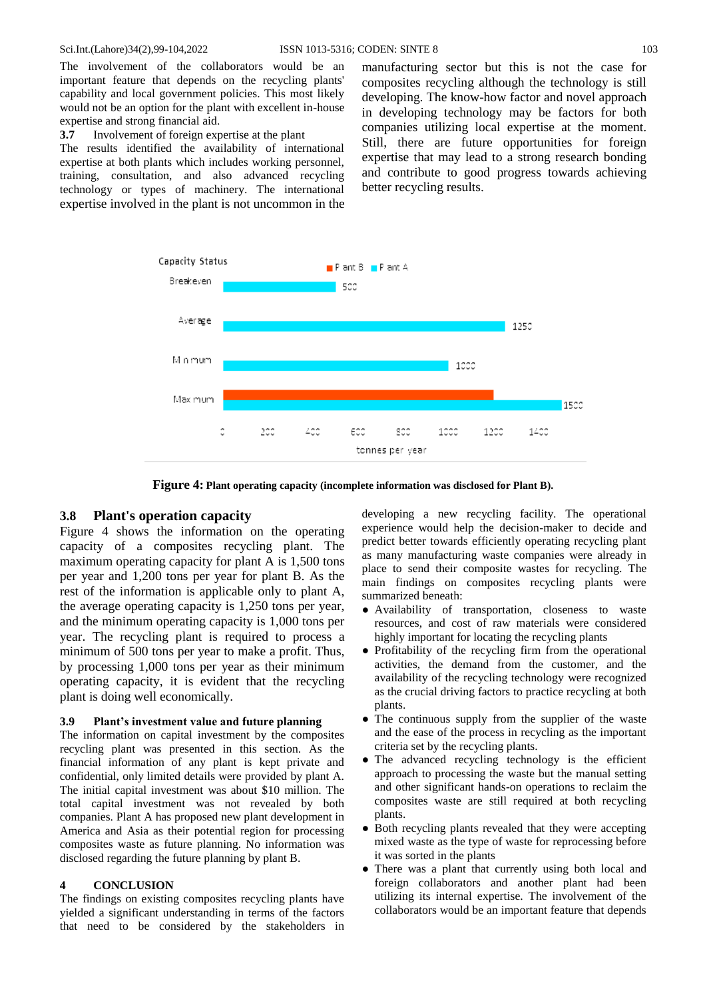The involvement of the collaborators would be an important feature that depends on the recycling plants' capability and local government policies. This most likely would not be an option for the plant with excellent in-house expertise and strong financial aid.

**3.7** Involvement of foreign expertise at the plant

The results identified the availability of international expertise at both plants which includes working personnel, training, consultation, and also advanced recycling technology or types of machinery. The international expertise involved in the plant is not uncommon in the manufacturing sector but this is not the case for composites recycling although the technology is still developing. The know-how factor and novel approach in developing technology may be factors for both companies utilizing local expertise at the moment. Still, there are future opportunities for foreign expertise that may lead to a strong research bonding and contribute to good progress towards achieving better recycling results.



**Figure 4: Plant operating capacity (incomplete information was disclosed for Plant B).**

#### **3.8 Plant's operation capacity**

Figure 4 shows the information on the operating capacity of a composites recycling plant. The maximum operating capacity for plant A is 1,500 tons per year and 1,200 tons per year for plant B. As the rest of the information is applicable only to plant A, the average operating capacity is 1,250 tons per year, and the minimum operating capacity is 1,000 tons per year. The recycling plant is required to process a minimum of 500 tons per year to make a profit. Thus, by processing 1,000 tons per year as their minimum operating capacity, it is evident that the recycling plant is doing well economically.

#### **3.9 Plant's investment value and future planning**

The information on capital investment by the composites recycling plant was presented in this section. As the financial information of any plant is kept private and confidential, only limited details were provided by plant A. The initial capital investment was about \$10 million. The total capital investment was not revealed by both companies. Plant A has proposed new plant development in America and Asia as their potential region for processing composites waste as future planning. No information was disclosed regarding the future planning by plant B.

#### **4 CONCLUSION**

The findings on existing composites recycling plants have yielded a significant understanding in terms of the factors that need to be considered by the stakeholders in developing a new recycling facility. The operational experience would help the decision-maker to decide and predict better towards efficiently operating recycling plant as many manufacturing waste companies were already in place to send their composite wastes for recycling. The main findings on composites recycling plants were summarized beneath:

- Availability of transportation, closeness to waste resources, and cost of raw materials were considered highly important for locating the recycling plants
- Profitability of the recycling firm from the operational activities, the demand from the customer, and the availability of the recycling technology were recognized as the crucial driving factors to practice recycling at both plants.
- The continuous supply from the supplier of the waste and the ease of the process in recycling as the important criteria set by the recycling plants.
- The advanced recycling technology is the efficient approach to processing the waste but the manual setting and other significant hands-on operations to reclaim the composites waste are still required at both recycling plants.
- Both recycling plants revealed that they were accepting mixed waste as the type of waste for reprocessing before it was sorted in the plants
- There was a plant that currently using both local and foreign collaborators and another plant had been utilizing its internal expertise. The involvement of the collaborators would be an important feature that depends